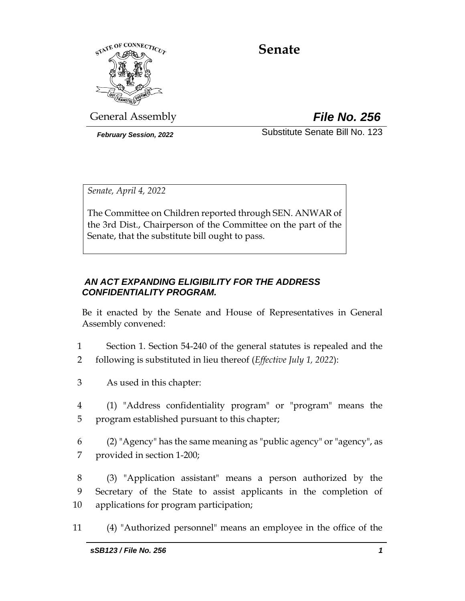

# **Senate**

General Assembly *File No. 256*

*February Session, 2022* Substitute Senate Bill No. 123

*Senate, April 4, 2022*

The Committee on Children reported through SEN. ANWAR of the 3rd Dist., Chairperson of the Committee on the part of the Senate, that the substitute bill ought to pass.

# *AN ACT EXPANDING ELIGIBILITY FOR THE ADDRESS CONFIDENTIALITY PROGRAM.*

Be it enacted by the Senate and House of Representatives in General Assembly convened:

- 1 Section 1. Section 54-240 of the general statutes is repealed and the 2 following is substituted in lieu thereof (*Effective July 1, 2022*):
- 3 As used in this chapter:
- 4 (1) "Address confidentiality program" or "program" means the 5 program established pursuant to this chapter;
- 6 (2) "Agency" has the same meaning as "public agency" or "agency", as 7 provided in section 1-200;
- 8 (3) "Application assistant" means a person authorized by the 9 Secretary of the State to assist applicants in the completion of 10 applications for program participation;
- 11 (4) "Authorized personnel" means an employee in the office of the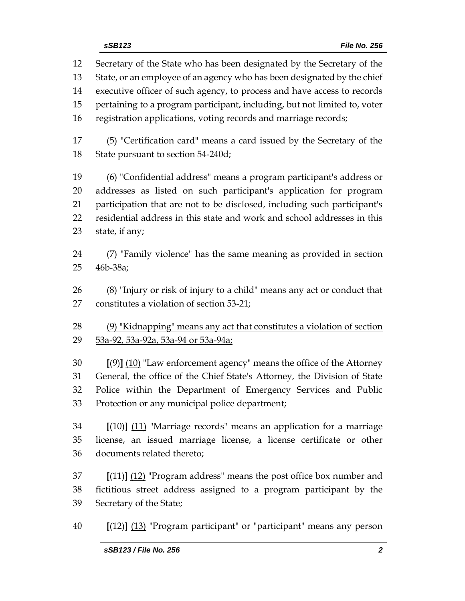Secretary of the State who has been designated by the Secretary of the State, or an employee of an agency who has been designated by the chief executive officer of such agency, to process and have access to records pertaining to a program participant, including, but not limited to, voter registration applications, voting records and marriage records; (5) "Certification card" means a card issued by the Secretary of the

State pursuant to section 54-240d;

 (6) "Confidential address" means a program participant's address or addresses as listed on such participant's application for program participation that are not to be disclosed, including such participant's residential address in this state and work and school addresses in this state, if any;

 (7) "Family violence" has the same meaning as provided in section 46b-38a;

 (8) "Injury or risk of injury to a child" means any act or conduct that constitutes a violation of section 53-21;

 (9) "Kidnapping" means any act that constitutes a violation of section 29 53a-92, 53a-92a, 53a-94 or 53a-94a;

 **[**(9)**]** (10) "Law enforcement agency" means the office of the Attorney General, the office of the Chief State's Attorney, the Division of State Police within the Department of Emergency Services and Public Protection or any municipal police department;

 **[**(10)**]** (11) "Marriage records" means an application for a marriage license, an issued marriage license, a license certificate or other documents related thereto;

 **[**(11)**]** (12) "Program address" means the post office box number and fictitious street address assigned to a program participant by the Secretary of the State;

**[**(12)**]** (13) "Program participant" or "participant" means any person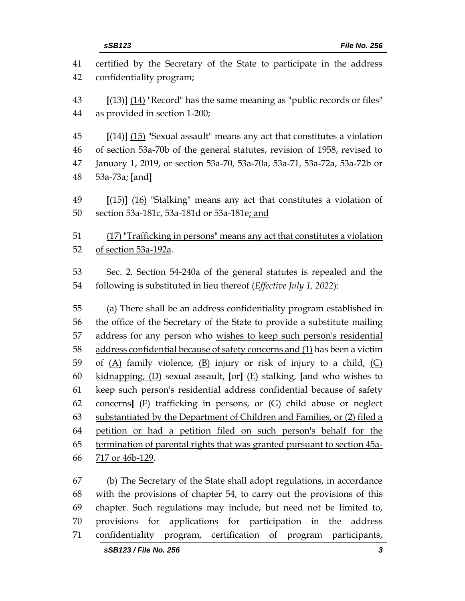| 41<br>42 | certified by the Secretary of the State to participate in the address<br>confidentiality program; |  |  |  |
|----------|---------------------------------------------------------------------------------------------------|--|--|--|
| 43       | $[(13)]$ $(14)$ "Record" has the same meaning as "public records or files"                        |  |  |  |
| 44       | as provided in section 1-200;                                                                     |  |  |  |
| 45       | $[(14)]$ (15) "Sexual assault" means any act that constitutes a violation                         |  |  |  |
| 46       | of section 53a-70b of the general statutes, revision of 1958, revised to                          |  |  |  |
| 47       | January 1, 2019, or section 53a-70, 53a-70a, 53a-71, 53a-72a, 53a-72b or                          |  |  |  |
| 48       | 53a-73a; [and]                                                                                    |  |  |  |
| 49       | $[(15)]$ (16) "Stalking" means any act that constitutes a violation of                            |  |  |  |
| 50       | section 53a-181c, 53a-181d or 53a-181e; and                                                       |  |  |  |
| 51       | (17) "Trafficking in persons" means any act that constitutes a violation                          |  |  |  |
| 52       | of section 53a-192a.                                                                              |  |  |  |
|          |                                                                                                   |  |  |  |
| 53       | Sec. 2. Section 54-240a of the general statutes is repealed and the                               |  |  |  |
| 54       | following is substituted in lieu thereof (Effective July 1, 2022):                                |  |  |  |
| 55       | (a) There shall be an address confidentiality program established in                              |  |  |  |
| 56       | the office of the Secretary of the State to provide a substitute mailing                          |  |  |  |
| 57       | address for any person who wishes to keep such person's residential                               |  |  |  |
| 58       | address confidential because of safety concerns and (1) has been a victim                         |  |  |  |
| 59       | of $(A)$ family violence, $(B)$ injury or risk of injury to a child, $(C)$                        |  |  |  |
| 60       | kidnapping, $(D)$ sexual assault, [or] $(E)$ stalking, [and who wishes to                         |  |  |  |
| 61       | keep such person's residential address confidential because of safety                             |  |  |  |
| 62       | concerns] (F) trafficking in persons, or (G) child abuse or neglect                               |  |  |  |
| 63       | substantiated by the Department of Children and Families, or (2) filed a                          |  |  |  |
| 64       | petition or had a petition filed on such person's behalf for the                                  |  |  |  |
| 65       | termination of parental rights that was granted pursuant to section 45a-                          |  |  |  |
| 66       | 717 or 46b-129.                                                                                   |  |  |  |
| 67       | (b) The Secretary of the State shall adopt regulations, in accordance                             |  |  |  |
| 68       | with the provisions of chapter 54, to carry out the provisions of this                            |  |  |  |
| 69       | chapter. Such regulations may include, but need not be limited to,                                |  |  |  |
| 70       | provisions<br>for<br>applications for participation in the<br>address                             |  |  |  |

confidentiality program, certification of program participants,

- *sSB123 / File No. 256 3*
	-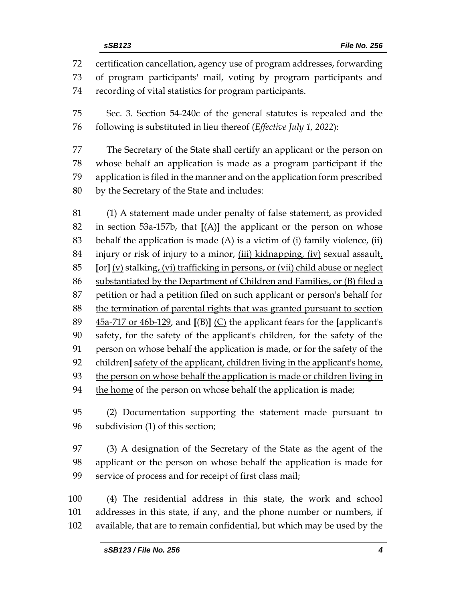certification cancellation, agency use of program addresses, forwarding of program participants' mail, voting by program participants and recording of vital statistics for program participants.

 Sec. 3. Section 54-240c of the general statutes is repealed and the following is substituted in lieu thereof (*Effective July 1, 2022*):

 The Secretary of the State shall certify an applicant or the person on whose behalf an application is made as a program participant if the application is filed in the manner and on the application form prescribed by the Secretary of the State and includes:

 (1) A statement made under penalty of false statement, as provided in section 53a-157b, that **[**(A)**]** the applicant or the person on whose 83 behalf the application is made  $(A)$  is a victim of  $(i)$  family violence,  $(ii)$ 84 injury or risk of injury to a minor,  $(iii)$  kidnapping,  $(iv)$  sexual assault, **[**or**]** (v) stalking, (vi) trafficking in persons, or (vii) child abuse or neglect substantiated by the Department of Children and Families, or (B) filed a 87 petition or had a petition filed on such applicant or person's behalf for the termination of parental rights that was granted pursuant to section 45a-717 or 46b-129, and **[**(B)**]** (C) the applicant fears for the **[**applicant's safety, for the safety of the applicant's children, for the safety of the person on whose behalf the application is made, or for the safety of the children**]** safety of the applicant, children living in the applicant's home, the person on whose behalf the application is made or children living in 94 the home of the person on whose behalf the application is made;

 (2) Documentation supporting the statement made pursuant to subdivision (1) of this section;

 (3) A designation of the Secretary of the State as the agent of the applicant or the person on whose behalf the application is made for service of process and for receipt of first class mail;

 (4) The residential address in this state, the work and school addresses in this state, if any, and the phone number or numbers, if available, that are to remain confidential, but which may be used by the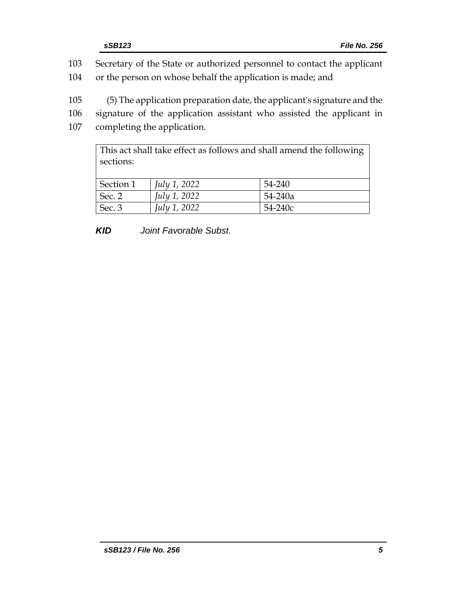| 103 | Secretary of the State or authorized personnel to contact the applicant |  |  |  |
|-----|-------------------------------------------------------------------------|--|--|--|
| 104 | or the person on whose behalf the application is made; and              |  |  |  |
|     |                                                                         |  |  |  |
| 105 | (5) The application preparation date, the applicant's signature and the |  |  |  |
| 106 | signature of the application assistant who assisted the applicant in    |  |  |  |
| 107 | completing the application.                                             |  |  |  |
|     |                                                                         |  |  |  |

This act shall take effect as follows and shall amend the following sections: Section 1 *July 1, 2022* 54-240 Sec. 2 *July 1, 2022* 54-240a

*KID Joint Favorable Subst.*

Sec. 3 *July 1, 2022* 54-240c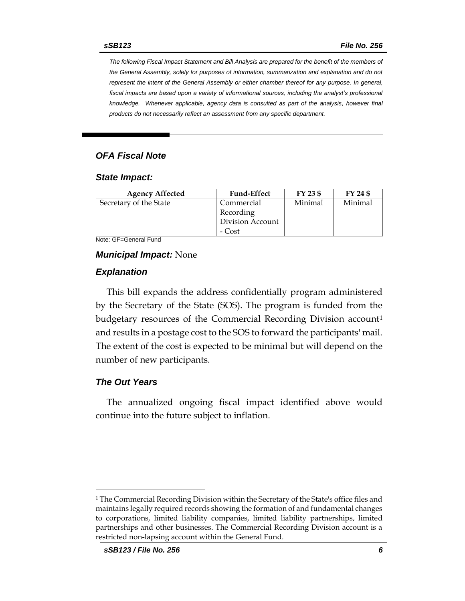*The following Fiscal Impact Statement and Bill Analysis are prepared for the benefit of the members of the General Assembly, solely for purposes of information, summarization and explanation and do not represent the intent of the General Assembly or either chamber thereof for any purpose. In general,*  fiscal impacts are based upon a variety of informational sources, including the analyst's professional *knowledge. Whenever applicable, agency data is consulted as part of the analysis, however final products do not necessarily reflect an assessment from any specific department.*

### *OFA Fiscal Note*

#### *State Impact:*

| <b>Agency Affected</b> | <b>Fund-Effect</b> | FY 23 \$ | FY 24 \$ |
|------------------------|--------------------|----------|----------|
| Secretary of the State | Commercial         | Minimal  | Minimal  |
|                        | Recording          |          |          |
|                        | Division Account   |          |          |
|                        | - Cost             |          |          |

Note: GF=General Fund

#### *Municipal Impact:* None

#### *Explanation*

This bill expands the address confidentially program administered by the Secretary of the State (SOS). The program is funded from the budgetary resources of the Commercial Recording Division account<sup>1</sup> and results in a postage cost to the SOS to forward the participants' mail. The extent of the cost is expected to be minimal but will depend on the number of new participants.

#### *The Out Years*

The annualized ongoing fiscal impact identified above would continue into the future subject to inflation.

<sup>1</sup> The Commercial Recording Division within the Secretary of the State's office files and maintains legally required records showing the formation of and fundamental changes to corporations, limited liability companies, limited liability partnerships, limited partnerships and other businesses. The Commercial Recording Division account is a restricted non-lapsing account within the General Fund.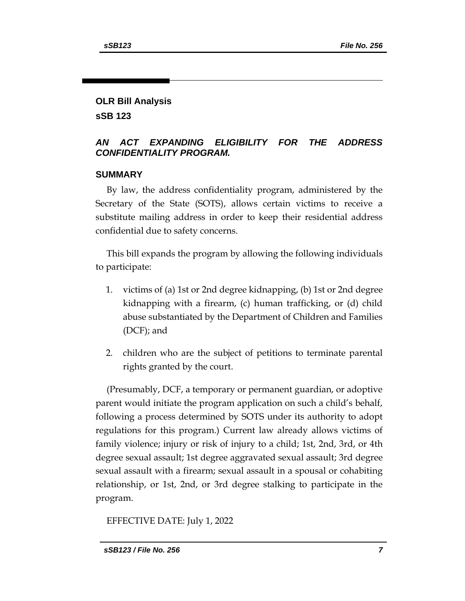# **OLR Bill Analysis**

**sSB 123**

## *AN ACT EXPANDING ELIGIBILITY FOR THE ADDRESS CONFIDENTIALITY PROGRAM.*

## **SUMMARY**

By law, the address confidentiality program, administered by the Secretary of the State (SOTS), allows certain victims to receive a substitute mailing address in order to keep their residential address confidential due to safety concerns.

This bill expands the program by allowing the following individuals to participate:

- 1. victims of (a) 1st or 2nd degree kidnapping, (b) 1st or 2nd degree kidnapping with a firearm, (c) human trafficking, or (d) child abuse substantiated by the Department of Children and Families (DCF); and
- 2. children who are the subject of petitions to terminate parental rights granted by the court.

(Presumably, DCF, a temporary or permanent guardian, or adoptive parent would initiate the program application on such a child's behalf, following a process determined by SOTS under its authority to adopt regulations for this program.) Current law already allows victims of family violence; injury or risk of injury to a child; 1st, 2nd, 3rd, or 4th degree sexual assault; 1st degree aggravated sexual assault; 3rd degree sexual assault with a firearm; sexual assault in a spousal or cohabiting relationship, or 1st, 2nd, or 3rd degree stalking to participate in the program.

EFFECTIVE DATE: July 1, 2022